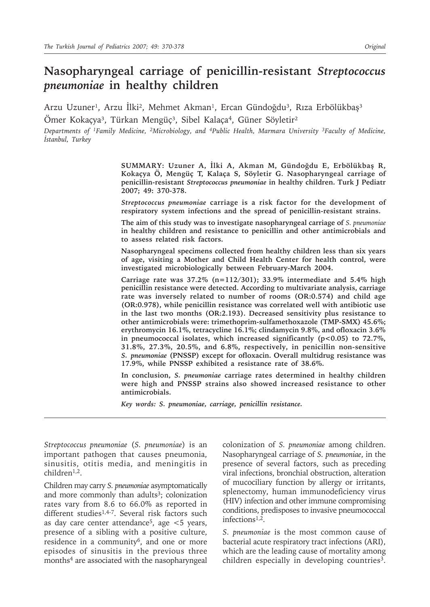# **Nasopharyngeal carriage of penicillin-resistant** *Streptococcus pneumoniae* **in healthy children**

Arzu Uzuner<sup>1</sup>, Arzu İlki<sup>2</sup>, Mehmet Akman<sup>1</sup>, Ercan Gündoğdu<sup>3</sup>, Rıza Erbölükbaş<sup>3</sup> Ömer Kokaçya<sup>3</sup>, Türkan Mengüç<sup>3</sup>, Sibel Kalaça<sup>4</sup>, Güner Söyletir<sup>2</sup>

*Departments of 1Family Medicine, 2Microbiology, and 4Public Health, Marmara University 3Faculty of Medicine, İstanbul, Turkey*

> **SUMMARY: Uzuner A, İlki A, Akman M, Gündoğdu E, Erbölükbaş R, Kokaçya Ö, Mengüç T, Kalaça S, Söyletir G. Nasopharyngeal carriage of penicillin-resistant** *Streptococcus pneumoniae* **in healthy children. Turk J Pediatr 2007; 49: 370-378.**

> *Streptococcus pneumoniae* **carriage is a risk factor for the development of respiratory system infections and the spread of penicillin-resistant strains.**

> **The aim of this study was to investigate nasopharyngeal carriage of** *S. pneumoniae* **in healthy children and resistance to penicillin and other antimicrobials and to assess related risk factors.**

> **Nasopharyngeal specimens collected from healthy children less than six years of age, visiting a Mother and Child Health Center for health control, were investigated microbiologically between February-March 2004.**

> **Carriage rate was 37.2% (n=112/301); 33.9% intermediate and 5.4% high penicillin resistance were detected. According to multivariate analysis, carriage rate was inversely related to number of rooms (OR:0.574) and child age (OR:0.978), while penicillin resistance was correlated well with antibiotic use in the last two months (OR:2.193). Decreased sensitivity plus resistance to other antimicrobials were: trimethoprim-sulfamethoxazole (TMP-SMX) 45.6%; erythromycin 16.1%, tetracycline 16.1%; clindamycin 9.8%, and ofloxacin 3.6%**  in pneumococcal isolates, which increased significantly (p<0.05) to 72.7%, **31.8%, 27.3%, 20.5%, and 6.8%, respectively, in penicillin non-sensitive**  *S. pneumoniae* **(PNSSP) except for ofloxacin. Overall multidrug resistance was 17.9%, while PNSSP exhibited a resistance rate of 38.6%.**

> **In conclusion,** *S. pneumoniae* **carriage rates determined in healthy children were high and PNSSP strains also showed increased resistance to other antimicrobials.**

*Key words: S. pneumoniae, carriage, penicillin resistance.*

*Streptococcus pneumoniae* (*S. pneumoniae*) is an important pathogen that causes pneumonia, sinusitis, otitis media, and meningitis in children<sup>1,2</sup>.

Children may carry *S. pneumoniae* asymptomatically and more commonly than adults<sup>3</sup>; colonization rates vary from 8.6 to 66.0% as reported in different studies<sup>1,4-7</sup>. Several risk factors such as day care center attendance<sup>5</sup>, age  $<$  5 years, presence of a sibling with a positive culture, residence in a community<sup>6</sup>, and one or more episodes of sinusitis in the previous three months4 are associated with the nasopharyngeal colonization of *S. pneumoniae* among children. Nasopharyngeal carriage of *S. pneumoniae*, in the presence of several factors, such as preceding viral infections, bronchial obstruction, alteration of mucociliary function by allergy or irritants, splenectomy, human immunodeficiency virus (HIV) infection and other immune compromising conditions, predisposes to invasive pneumococcal infections<sup>1,2</sup>.

*S. pneumoniae* is the most common cause of bacterial acute respiratory tract infections (ARI), which are the leading cause of mortality among children especially in developing countries<sup>3</sup>.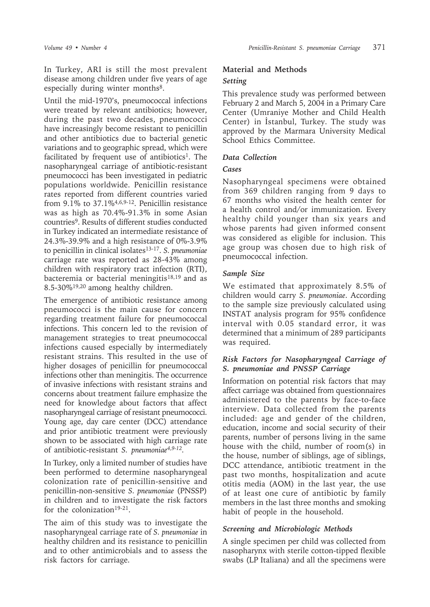In Turkey, ARI is still the most prevalent disease among children under five years of age especially during winter months<sup>8</sup>.

Until the mid-1970's, pneumococcal infections were treated by relevant antibiotics; however, during the past two decades, pneumococci have increasingly become resistant to penicillin and other antibiotics due to bacterial genetic variations and to geographic spread, which were facilitated by frequent use of antibiotics<sup>1</sup>. The nasopharyngeal carriage of antibiotic-resistant pneumococci has been investigated in pediatric populations worldwide. Penicillin resistance rates reported from different countries varied from  $9.1\%$  to  $37.1\%$ <sup>4,6,9-12</sup>. Penicillin resistance was as high as 70.4%-91.3% in some Asian countries9. Results of different studies conducted in Turkey indicated an intermediate resistance of 24.3%-39.9% and a high resistance of 0%-3.9% to penicillin in clinical isolates<sup>13-17</sup>. *S. pneumoniae* carriage rate was reported as 28-43% among children with respiratory tract infection (RTI), bacteremia or bacterial meningitis<sup>18,19</sup> and as 8.5-30%19,20 among healthy children.

The emergence of antibiotic resistance among pneumococci is the main cause for concern regarding treatment failure for pneumococcal infections. This concern led to the revision of management strategies to treat pneumococcal infections caused especially by intermediately resistant strains. This resulted in the use of higher dosages of penicillin for pneumococcal infections other than meningitis. The occurrence of invasive infections with resistant strains and concerns about treatment failure emphasize the need for knowledge about factors that affect nasopharyngeal carriage of resistant pneumococci. Young age, day care center (DCC) attendance and prior antibiotic treatment were previously shown to be associated with high carriage rate of antibiotic-resistant *S. pneumoniae4,9-12.*

In Turkey, only a limited number of studies have been performed to determine nasopharyngeal colonization rate of penicillin-sensitive and penicillin-non-sensitive *S. pneumoniae* (PNSSP) in children and to investigate the risk factors for the colonization<sup>19-21</sup>.

The aim of this study was to investigate the nasopharyngeal carriage rate of *S. pneumoniae* in healthy children and its resistance to penicillin and to other antimicrobials and to assess the risk factors for carriage.

## **Material and Methods** *Setting*

This prevalence study was performed between February 2 and March 5, 2004 in a Primary Care Center (Umraniye Mother and Child Health Center) in İstanbul, Turkey. The study was approved by the Marmara University Medical School Ethics Committee.

## *Data Collection*

## *Cases*

Nasopharyngeal specimens were obtained from 369 children ranging from 9 days to 67 months who visited the health center for a health control and/or immunization. Every healthy child younger than six years and whose parents had given informed consent was considered as eligible for inclusion. This age group was chosen due to high risk of pneumococcal infection.

## *Sample Size*

We estimated that approximately 8.5% of children would carry *S. pneumoniae*. According to the sample size previously calculated using INSTAT analysis program for 95% confidence interval with 0.05 standard error, it was determined that a minimum of 289 participants was required.

## *Risk Factors for Nasopharyngeal Carriage of S. pneumoniae and PNSSP Carriage*

Information on potential risk factors that may affect carriage was obtained from questionnaires administered to the parents by face-to-face interview. Data collected from the parents included: age and gender of the children, education, income and social security of their parents, number of persons living in the same house with the child, number of room(s) in the house, number of siblings, age of siblings, DCC attendance, antibiotic treatment in the past two months, hospitalization and acute otitis media (AOM) in the last year, the use of at least one cure of antibiotic by family members in the last three months and smoking habit of people in the household.

## *Screening and Microbiologic Methods*

A single specimen per child was collected from nasopharynx with sterile cotton-tipped flexible swabs (LP Italiana) and all the specimens were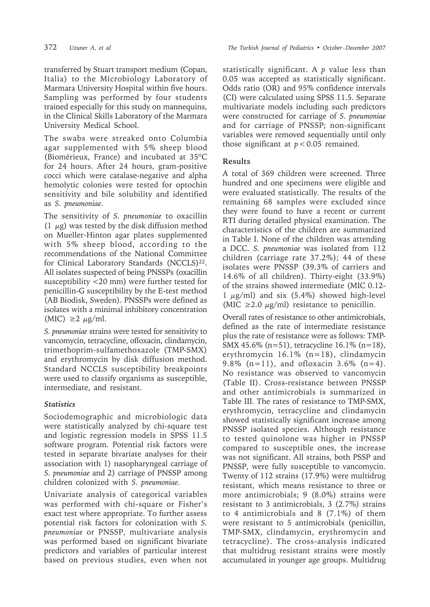transferred by Stuart transport medium (Copan, Italia) to the Microbiology Laboratory of Marmara University Hospital within five hours. Sampling was performed by four students trained especially for this study on mannequins, in the Clinical Skills Laboratory of the Marmara University Medical School.

The swabs were streaked onto Columbia agar supplemented with 5% sheep blood (Biomérieux, France) and incubated at 35ºC for 24 hours. After 24 hours, gram-positive cocci which were catalase-negative and alpha hemolytic colonies were tested for optochin sensitivity and bile solubility and identified as *S. pneumoniae*.

The sensitivity of *S. pneumoniae* to oxacillin (1  $\mu$ g) was tested by the disk diffusion method on Mueller-Hinton agar plates supplemented with 5% sheep blood, according to the recommendations of the National Committee for Clinical Laboratory Standards (NCCLS)<sup>22</sup>. All isolates suspected of being PNSSPs (oxacillin susceptibility <20 mm) were further tested for penicillin-G susceptibility by the E-test method (AB Biodisk, Sweden). PNSSPs were defined as isolates with a minimal inhibitory concentration (MIC)  $\geq 2 \mu g/ml$ .

*S. pneumoniae* strains were tested for sensitivity to vancomycin, tetracycline, ofloxacin, clindamycin, trimethoprim-sulfamethoxazole (TMP-SMX) and erythromycin by disk diffusion method. Standard NCCLS susceptibility breakpoints were used to classify organisms as susceptible, intermediate, and resistant.

## *Statistics*

Sociodemographic and microbiologic data were statistically analyzed by chi-square test and logistic regression models in SPSS 11.5 software program. Potential risk factors were tested in separate bivariate analyses for their association with 1) nasopharyngeal carriage of *S. pneumoniae* and 2) carriage of PNSSP among children colonized with *S. pneumoniae*.

Univariate analysis of categorical variables was performed with chi-square or Fisher's exact test where appropriate. To further assess potential risk factors for colonization with *S. pneumoniae* or PNSSP, multivariate analysis was performed based on significant bivariate predictors and variables of particular interest based on previous studies, even when not statistically significant. A *p* value less than 0.05 was accepted as statistically significant. Odds ratio (OR) and 95% confidence intervals (CI) were calculated using SPSS 11.5. Separate multivariate models including such predictors were constructed for carriage of *S. pneumoniae* and for carriage of PNSSP; non-significant variables were removed sequentially until only those significant at  $p < 0.05$  remained.

## **Results**

A total of 369 children were screened. Three hundred and one specimens were eligible and were evaluated statistically. The results of the remaining 68 samples were excluded since they were found to have a recent or current RTI during detailed physical examination. The characteristics of the children are summarized in Table I. None of the children was attending a DCC. *S. pneumoniae* was isolated from 112 children (carriage rate 37.2%); 44 of these isolates were PNSSP (39.3% of carriers and 14.6% of all children). Thirty-eight (33.9%) of the strains showed intermediate (MIC 0.12-  $1 \mu g/ml$ ) and six (5.4%) showed high-level (MIC  $\geq$  2.0  $\mu$ g/ml) resistance to penicillin.

Overall rates of resistance to other antimicrobials, defined as the rate of intermediate resistance plus the rate of resistance were as follows: TMP-SMX 45.6% (n=51), tetracycline 16.1% (n=18), erythromycin 16.1% (n=18), clindamycin 9.8% (n=11), and ofloxacin 3.6% (n=4). No resistance was observed to vancomycin (Table II). Cross-resistance between PNSSP and other antimicrobials is summarized in Table III. The rates of resistance to TMP-SMX, erythromycin, tetracycline and clindamycin showed statistically significant increase among PNSSP isolated species. Although resistance to tested quinolone was higher in PNSSP compared to susceptible ones, the increase was not significant. All strains, both PSSP and PNSSP, were fully susceptible to vancomycin. Twenty of 112 strains (17.9%) were multidrug resistant, which means resistance to three or more antimicrobials; 9 (8.0%) strains were resistant to 3 antimicrobials, 3 (2.7%) strains to 4 antimicrobials and 8 (7.1%) of them were resistant to 5 antimicrobials (penicillin, TMP-SMX, clindamycin, erythromycin and tetracycline). The cross-analysis indicated that multidrug resistant strains were mostly accumulated in younger age groups. Multidrug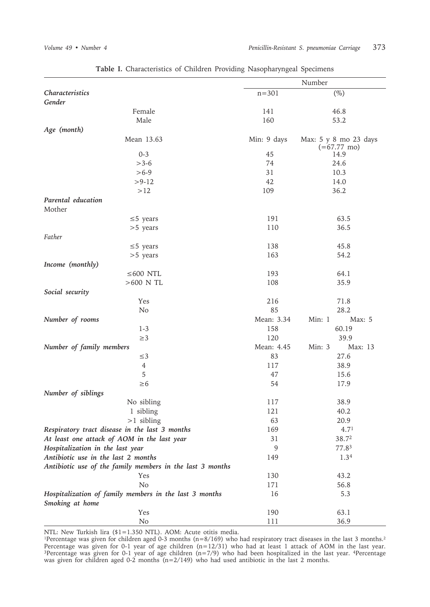|                                                                           | Number      |                                                |  |  |
|---------------------------------------------------------------------------|-------------|------------------------------------------------|--|--|
| Characteristics                                                           | $n = 301$   | $(\%)$                                         |  |  |
| Gender                                                                    |             |                                                |  |  |
| Female                                                                    | 141         | 46.8                                           |  |  |
| Male                                                                      | 160         | 53.2                                           |  |  |
| Age (month)                                                               |             |                                                |  |  |
| Mean 13.63                                                                | Min: 9 days | Max: 5 y 8 mo 23 days<br>$(=67.77 \text{ mo})$ |  |  |
| $0 - 3$                                                                   | 45          | 14.9                                           |  |  |
| $>3-6$                                                                    | 74          | 24.6                                           |  |  |
| $>6-9$                                                                    | 31          | 10.3                                           |  |  |
| $> 9-12$                                                                  | 42          | 14.0                                           |  |  |
| $>12$                                                                     | 109         | 36.2                                           |  |  |
| Parental education                                                        |             |                                                |  |  |
| Mother                                                                    |             |                                                |  |  |
| $\leq$ 5 years                                                            | 191         | 63.5                                           |  |  |
| $>5$ years                                                                | 110         | 36.5                                           |  |  |
| Father                                                                    |             |                                                |  |  |
| $\leq$ 5 years                                                            | 138         | 45.8                                           |  |  |
| $>5$ years                                                                | 163         | 54.2                                           |  |  |
| Income (monthly)                                                          |             |                                                |  |  |
| $\leq 600$ NTL                                                            | 193         | 64.1                                           |  |  |
| $>600$ N TL                                                               | 108         | 35.9                                           |  |  |
| Social security                                                           |             |                                                |  |  |
| Yes                                                                       | 216         | 71.8                                           |  |  |
|                                                                           | 85          | 28.2                                           |  |  |
| No                                                                        |             |                                                |  |  |
| Number of rooms                                                           | Mean: 3.34  | Min: 1<br>Max: 5                               |  |  |
| $1 - 3$                                                                   | 158         | 60.19                                          |  |  |
| $\geq$ 3                                                                  | 120         | 39.9                                           |  |  |
| Number of family members                                                  | Mean: 4.45  | Min: 3<br>Max: 13                              |  |  |
| $\leq$ 3                                                                  | 83          | 27.6                                           |  |  |
| $\overline{4}$                                                            | 117         | 38.9                                           |  |  |
| 5                                                                         | 47          | 15.6                                           |  |  |
| $\geq 6$                                                                  | 54          | 17.9                                           |  |  |
| Number of siblings                                                        |             |                                                |  |  |
| No sibling                                                                | 117         | 38.9                                           |  |  |
| 1 sibling                                                                 | 121         | 40.2                                           |  |  |
| $>1$ sibling                                                              | 63          | 20.9                                           |  |  |
| Respiratory tract disease in the last 3 months                            | 169         | 4.7 <sup>1</sup>                               |  |  |
| At least one attack of AOM in the last year                               | 31          | 38.72                                          |  |  |
| Hospitalization in the last year                                          | 9           | 77.83                                          |  |  |
| Antibiotic use in the last 2 months                                       | 149         | 1.34                                           |  |  |
| Antibiotic use of the family members in the last 3 months                 |             |                                                |  |  |
|                                                                           | 130         | 43.2                                           |  |  |
| Yes                                                                       |             |                                                |  |  |
| No                                                                        | 171         | 56.8                                           |  |  |
| Hospitalization of family members in the last 3 months<br>Smoking at home | 16          | 5.3                                            |  |  |
| Yes                                                                       | 190         | 63.1                                           |  |  |
| No                                                                        | 111         | 36.9                                           |  |  |

**Table I.** Characteristics of Children Providing Nasopharyngeal Specimens

NTL: New Turkish lira (\$1=1.350 NTL). AOM: Acute otitis media.

<sup>1</sup>Percentage was given for children aged 0-3 months ( $n=8/169$ ) who had respiratory tract diseases in the last 3 months.<sup>2</sup> Percentage was given for 0-1 year of age children (n=12/31) who had at least 1 attack of AOM in the last year. 3Percentage was given for 0-1 year of age children (n=7/9) who had been hospitalized in the last year. 4Percentage was given for children aged 0-2 months (n=2/149) who had used antibiotic in the last 2 months.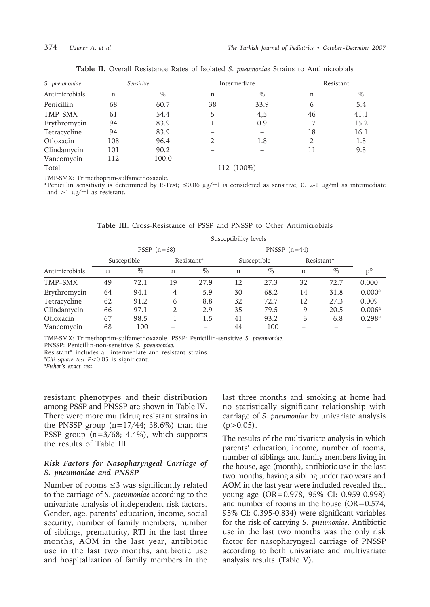| S. pneumoniae  | Sensitive  |       |    | Intermediate | Resistant |      |
|----------------|------------|-------|----|--------------|-----------|------|
| Antimicrobials | n          | $\%$  | n  | $\%$         | n         | $\%$ |
| Penicillin     | 68         | 60.7  | 38 | 33.9         | 6         | 5.4  |
| TMP-SMX        | 61         | 54.4  |    | 4,5          | 46        | 41.1 |
| Erythromycin   | 94         | 83.9  |    | 0.9          | 17        | 15.2 |
| Tetracycline   | 94         | 83.9  |    |              | 18        | 16.1 |
| Ofloxacin      | 108        | 96.4  |    | 1.8          | 2         | 1.8  |
| Clindamycin    | 101        | 90.2  |    |              | 11        | 9.8  |
| Vancomycin     | 112        | 100.0 |    |              |           |      |
| Total          | 112 (100%) |       |    |              |           |      |

**Table II.** Overall Resistance Rates of Isolated *S. pneumoniae* Strains to Antimicrobials

TMP-SMX: Trimethoprim-sulfamethoxazole.

\*Penicillin sensitivity is determined by E-Test; ≤0.06 µg/ml is considered as sensitive, 0.12-1 µg/ml as intermediate and >1 µg/ml as resistant.

|                | Susceptibility levels |              |    |            |    |                |    |            |                    |
|----------------|-----------------------|--------------|----|------------|----|----------------|----|------------|--------------------|
|                |                       | $PSSP(n=68)$ |    |            |    | PNSSP $(n=44)$ |    |            |                    |
|                |                       | Susceptible  |    | Resistant* |    | Susceptible    |    | Resistant* |                    |
| Antimicrobials | n                     | $\%$         | n  | $\%$       | n  | $\%$           | n  | $\%$       | $p^{\rm o}$        |
| TMP-SMX        | 49                    | 72.1         | 19 | 27.9       | 12 | 27.3           | 32 | 72.7       | 0.000              |
| Erythromycin   | 64                    | 94.1         | 4  | 5.9        | 30 | 68.2           | 14 | 31.8       | 0.000 <sup>a</sup> |
| Tetracycline   | 62                    | 91.2         | 6  | 8.8        | 32 | 72.7           | 12 | 27.3       | 0.009              |
| Clindamycin    | 66                    | 97.1         | 2  | 2.9        | 35 | 79.5           | 9  | 20.5       | 0.006 <sup>a</sup> |
| Ofloxacin      | 67                    | 98.5         |    | 1.5        | 41 | 93.2           | 3  | 6.8        | 0.298 <sup>a</sup> |
| Vancomycin     | 68                    | 100          |    |            | 44 | 100            |    |            |                    |

**Table III.** Cross-Resistance of PSSP and PNSSP to Other Antimicrobials

TMP-SMX: Trimethoprim-sulfamethoxazole. PSSP: Penicillin-sensitive *S. pneumoniae*.

PNSSP: Penicillin-non-sensitive *S. pneumoniae.*

Resistant\* includes all intermediate and resistant strains.

*ºChi square test P*<0.05 is significant.

*ªFisher's exact test.*

resistant phenotypes and their distribution among PSSP and PNSSP are shown in Table IV. There were more multidrug resistant strains in the PNSSP group  $(n=17/44; 38.6%)$  than the PSSP group (n=3/68; 4.4%), which supports the results of Table III.

### *Risk Factors for Nasopharyngeal Carriage of S. pneumoniae and PNSSP*

Number of rooms  $\leq$ 3 was significantly related to the carriage of *S. pneumoniae* according to the univariate analysis of independent risk factors. Gender, age, parents' education, income, social security, number of family members, number of siblings, prematurity, RTI in the last three months, AOM in the last year, antibiotic use in the last two months, antibiotic use and hospitalization of family members in the last three months and smoking at home had no statistically significant relationship with carriage of *S. pneumoniae* by univariate analysis  $(p>0.05)$ .

The results of the multivariate analysis in which parents' education, income, number of rooms, number of siblings and family members living in the house, age (month), antibiotic use in the last two months, having a sibling under two years and AOM in the last year were included revealed that young age (OR=0.978, 95% CI: 0.959-0.998) and number of rooms in the house (OR=0.574, 95% CI: 0.395-0.834) were significant variables for the risk of carrying *S. pneumoniae*. Antibiotic use in the last two months was the only risk factor for nasopharyngeal carriage of PNSSP according to both univariate and multivariate analysis results (Table V).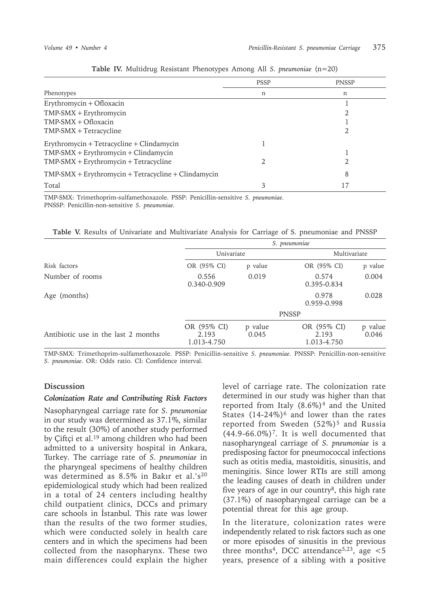|                                                       | <b>PSSP</b> | <b>PNSSP</b> |
|-------------------------------------------------------|-------------|--------------|
| Phenotypes                                            | n           | n            |
| Erythromycin + Ofloxacin                              |             |              |
| $TMP-SMX + Erythromycin$                              |             |              |
| $TMP-SMX + Ofloxacin$                                 |             |              |
| $TMP-SMX + Tetracycline$                              |             |              |
| Erythromycin + Tetracycline + Clindamycin             |             |              |
| $TMP-SMX + Erythromycin + Clindamycin$                |             |              |
| $TMP-SMX + Erythromycin + Tetracycline$               |             |              |
| $TMP-SMX + Erythromycin + Tetracycline + Clindamycin$ |             | 8            |
| Total                                                 |             |              |

**Table IV.** Multidrug Resistant Phenotypes Among All *S. pneumoniae* (n=20)

TMP-SMX: Trimethoprim-sulfamethoxazole. PSSP: Penicillin-sensitive *S. pneumoniae*. PNSSP: Penicillin-non-sensitive *S. pneumoniae.*

**Table V.** Results of Univariate and Multivariate Analysis for Carriage of S. pneumoniae and PNSSP

|                                     | S. pneumoniae                       |                  |                                     |                  |  |  |
|-------------------------------------|-------------------------------------|------------------|-------------------------------------|------------------|--|--|
| Risk factors                        | Univariate                          |                  |                                     | Multivariate     |  |  |
|                                     | OR (95% CI)                         | p value          | OR (95% CI)                         | p value          |  |  |
| Number of rooms                     | 0.556<br>0.340-0.909                | 0.019            | 0.574<br>0.395-0.834                | 0.004            |  |  |
| Age (months)                        |                                     |                  | 0.978<br>0.959-0.998                | 0.028            |  |  |
|                                     |                                     |                  | <b>PNSSP</b>                        |                  |  |  |
| Antibiotic use in the last 2 months | OR (95% CI)<br>2.193<br>1.013-4.750 | p value<br>0.045 | OR (95% CI)<br>2.193<br>1.013-4.750 | p value<br>0.046 |  |  |

TMP-SMX: Trimethoprim-sulfamethoxazole. PSSP: Penicillin-sensitive *S. pneumoniae*. PNSSP: Penicillin-non-sensitive *S. pneumoniae*. OR: Odds ratio. CI: Confidence interval.

### **Discussion**

### *Colonization Rate and Contributing Risk Factors*

Nasopharyngeal carriage rate for *S. pneumoniae* in our study was determined as 37.1%, similar to the result (30%) of another study performed by Çiftçi et al.<sup>19</sup> among children who had been admitted to a university hospital in Ankara, Turkey. The carriage rate of *S. pneumoniae* in the pharyngeal specimens of healthy children was determined as 8.5% in Bakır et al.'s<sup>20</sup> epidemiological study which had been realized in a total of 24 centers including healthy child outpatient clinics, DCCs and primary care schools in İstanbul. This rate was lower than the results of the two former studies, which were conducted solely in health care centers and in which the specimens had been collected from the nasopharynx. These two main differences could explain the higher level of carriage rate. The colonization rate determined in our study was higher than that reported from Italy (8.6%)4 and the United States  $(14-24\%)$ <sup>6</sup> and lower than the rates reported from Sweden (52%)<sup>5</sup> and Russia  $(44.9-66.0\%)$ <sup>7</sup>. It is well documented that nasopharyngeal carriage of *S. pneumoniae* is a predisposing factor for pneumococcal infections such as otitis media, mastoiditis, sinusitis, and meningitis. Since lower RTIs are still among the leading causes of death in children under five years of age in our country $\delta$ , this high rate (37.1%) of nasopharyngeal carriage can be a potential threat for this age group.

In the literature, colonization rates were independently related to risk factors such as one or more episodes of sinusitis in the previous three months<sup>4</sup>, DCC attendance<sup>5,23</sup>, age  $\lt$ 5 years, presence of a sibling with a positive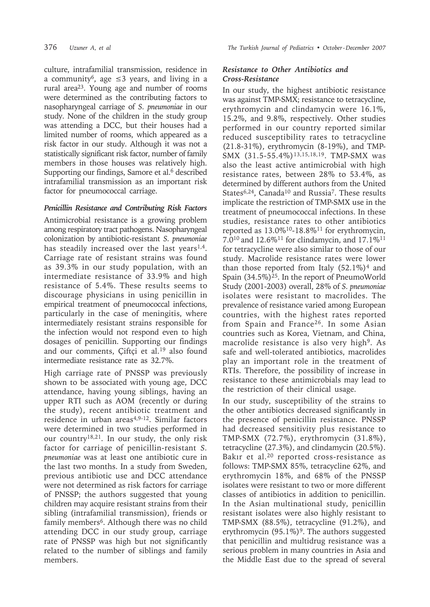culture, intrafamilial transmission, residence in a community<sup>6</sup>, age  $\leq$ 3 years, and living in a rural area23. Young age and number of rooms were determined as the contributing factors to nasopharyngeal carriage of *S. pneumoniae* in our study. None of the children in the study group was attending a DCC, but their houses had a limited number of rooms, which appeared as a risk factor in our study. Although it was not a statistically significant risk factor, number of family members in those houses was relatively high. Supporting our findings, Samore et al.<sup>6</sup> described intrafamilial transmission as an important risk factor for pneumococcal carriage.

## *Penicillin Resistance and Contributing Risk Factors*

Antimicrobial resistance is a growing problem among respiratory tract pathogens. Nasopharyngeal colonization by antibiotic-resistant *S. pneumoniae* has steadily increased over the last years<sup>1,4</sup>. Carriage rate of resistant strains was found as 39.3% in our study population, with an intermediate resistance of 33.9% and high resistance of 5.4%. These results seems to discourage physicians in using penicillin in empirical treatment of pneumococcal infections, particularly in the case of meningitis, where intermediately resistant strains responsible for the infection would not respond even to high dosages of penicillin. Supporting our findings and our comments, Ciftçi et al.<sup>19</sup> also found intermediate resistance rate as 32.7%.

High carriage rate of PNSSP was previously shown to be associated with young age, DCC attendance, having young siblings, having an upper RTI such as AOM (recently or during the study), recent antibiotic treatment and residence in urban areas<sup>4,9-12</sup>. Similar factors were determined in two studies performed in our country<sup>18,21</sup>. In our study, the only risk factor for carriage of penicillin-resistant *S. pneumoniae* was at least one antibiotic cure in the last two months. In a study from Sweden, previous antibiotic use and DCC attendance were not determined as risk factors for carriage of PNSSP; the authors suggested that young children may acquire resistant strains from their sibling (intrafamilial transmission), friends or family members<sup>6</sup>. Although there was no child attending DCC in our study group, carriage rate of PNSSP was high but not significantly related to the number of siblings and family members.

## *Resistance to Other Antibiotics and Cross-Resistance*

In our study, the highest antibiotic resistance was against TMP-SMX; resistance to tetracycline, erythromycin and clindamycin were 16.1%, 15.2%, and 9.8%, respectively. Other studies performed in our country reported similar reduced susceptibility rates to tetracycline (21.8-31%), erythromycin (8-19%), and TMP-SMX (31.5-55.4%)13,15,18,19. TMP-SMX was also the least active antimicrobial with high resistance rates, between 28% to 53.4%, as determined by different authors from the United States<sup>6,24</sup>, Canada<sup>10</sup> and Russia<sup>7</sup>. These results implicate the restriction of TMP-SMX use in the treatment of pneumococcal infections. In these studies, resistance rates to other antibiotics reported as 13.0%10-18.8%11 for erythromycin, 7.010 and 12.6%11 for clindamycin, and 17.1%11 for tetracycline were also similar to those of our study. Macrolide resistance rates were lower than those reported from Italy  $(52.1\%)^4$  and Spain (34.5%)25. In the report of PneumoWorld Study (2001-2003) overall, 28% of *S. pneumoniae* isolates were resistant to macrolides. The prevalence of resistance varied among European countries, with the highest rates reported from Spain and France<sup>26</sup>. In some Asian countries such as Korea, Vietnam, and China, macrolide resistance is also very high<sup>9</sup>. As safe and well-tolerated antibiotics, macrolides play an important role in the treatment of RTIs. Therefore, the possibility of increase in resistance to these antimicrobials may lead to the restriction of their clinical usage.

In our study, susceptibility of the strains to the other antibiotics decreased significantly in the presence of penicillin resistance. PNSSP had decreased sensitivity plus resistance to TMP-SMX (72.7%), erythromycin (31.8%), tetracycline (27.3%), and clindamycin (20.5%). Bakır et al.20 reported cross-resistance as follows: TMP-SMX 85%, tetracycline 62%, and erythromycin 18%, and 68% of the PNSSP isolates were resistant to two or more different classes of antibiotics in addition to penicillin. In the Asian multinational study, penicillin resistant isolates were also highly resistant to TMP-SMX (88.5%), tetracycline (91.2%), and erythromycin  $(95.1\%)$ <sup>9</sup>. The authors suggested that penicillin and multidrug resistance was a serious problem in many countries in Asia and the Middle East due to the spread of several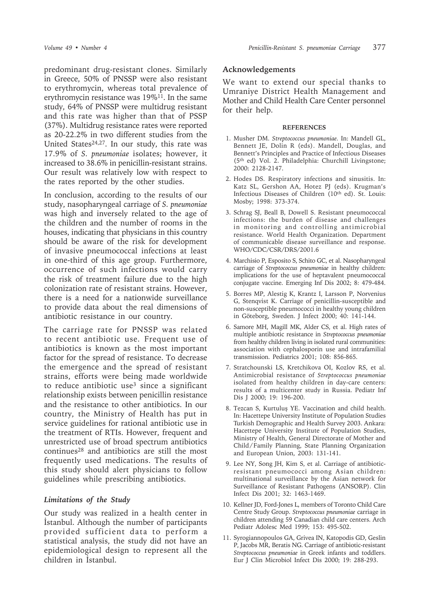predominant drug-resistant clones. Similarly in Greece, 50% of PNSSP were also resistant to erythromycin, whereas total prevalence of erythromycin resistance was 19%11. In the same study, 64% of PNSSP were multidrug resistant and this rate was higher than that of PSSP (37%). Multidrug resistance rates were reported as 20-22.2% in two different studies from the United States<sup>24,27</sup>. In our study, this rate was 17.9% of *S. pneumoniae* isolates; however, it increased to 38.6% in penicillin-resistant strains. Our result was relatively low with respect to the rates reported by the other studies.

In conclusion, according to the results of our study, nasopharyngeal carriage of *S. pneumoniae* was high and inversely related to the age of the children and the number of rooms in the houses, indicating that physicians in this country should be aware of the risk for development of invasive pneumococcal infections at least in one-third of this age group. Furthermore, occurrence of such infections would carry the risk of treatment failure due to the high colonization rate of resistant strains. However, there is a need for a nationwide surveillance to provide data about the real dimensions of antibiotic resistance in our country.

The carriage rate for PNSSP was related to recent antibiotic use. Frequent use of antibiotics is known as the most important factor for the spread of resistance. To decrease the emergence and the spread of resistant strains, efforts were being made worldwide to reduce antibiotic use<sup>3</sup> since a significant relationship exists between penicillin resistance and the resistance to other antibiotics. In our country, the Ministry of Health has put in service guidelines for rational antibiotic use in the treatment of RTIs. However, frequent and unrestricted use of broad spectrum antibiotics continues28 and antibiotics are still the most frequently used medications. The results of this study should alert physicians to follow guidelines while prescribing antibiotics.

### *Limitations of the Study*

Our study was realized in a health center in İstanbul. Although the number of participants provided sufficient data to perform a statistical analysis, the study did not have an epidemiological design to represent all the children in İstanbul.

### **Acknowledgements**

We want to extend our special thanks to Umraniye District Health Management and Mother and Child Health Care Center personnel for their help.

### **REFERENCES**

- 1. Musher DM. *Streptococcus pneumoniae.* In: Mandell GL, Bennett JE, Dolin R (eds). Mandell, Douglas, and Bennett's Principles and Practice of Infectious Diseases (5th ed) Vol. 2. Philadelphia: Churchill Livingstone; 2000: 2128-2147.
- 2. Hodes DS. Respiratory infections and sinusitis. In: Katz SL, Gershon AA, Hotez PJ (eds). Krugman's Infectious Diseases of Children (10th ed). St. Louis: Mosby; 1998: 373-374.
- 3. Schrag SJ, Beall B, Dowell S. Resistant pneumococcal infections: the burden of disease and challenges in monitoring and controlling antimicrobial resistance. World Health Organization. Department of communicable disease surveillance and response. WHO/CDC/CSR/DRS/2001.6
- 4. Marchisio P, Esposito S, Schito GC, et al. Nasopharyngeal carriage of *Streptococcus pneumoniae* in healthy children: implications for the use of heptavalent pneumococcal conjugate vaccine. Emerging Inf Dis 2002; 8: 479-484.
- 5. Borres MP, Alestig K, Krantz I, Larsson P, Norvenius G, Stenqvist K. Carriage of penicillin-susceptible and non-susceptible pneumococci in healthy young children in Göteborg, Sweden. J Infect 2000; 40: 141-144.
- 6. Samore MH, Magill MK, Alder CS, et al. High rates of multiple antibiotic resistance in *Streptococcus pneumoniae* from healthy children living in isolated rural communities: association with cephalosporin use and intrafamilial transmission. Pediatrics 2001; 108: 856-865.
- 7. Stratchounski LS, Kretchikova OI, Kozlov RS, et al. Antimicrobial resistance of *Streptococcus pneumoniae* isolated from healthy children in day-care centers: results of a multicenter study in Russia. Pediatr Inf Dis J 2000; 19: 196-200.
- 8. Tezcan S, Kurtuluş YE. Vaccination and child health. In: Hacettepe University Institute of Population Studies Turkish Demographic and Health Survey 2003. Ankara: Hacettepe University Institute of Population Studies, Ministry of Health, General Directorate of Mother and Child / Family Planning, State Planning Organization and European Union, 2003: 131-141.
- 9. Lee NY, Song JH, Kim S, et al. Carriage of antibioticresistant pneumococci among Asian children: multinational surveillance by the Asian network for Surveillance of Resistant Pathogens (ANSORP). Clin Infect Dis 2001; 32: 1463-1469.
- 10. Kellner JD, Ford-Jones L, members of Toronto Child Care Centre Study Group. *Streptococcus pneumoniae* carriage in children attending 59 Canadian child care centers. Arch Pediatr Adolesc Med 1999; 153: 495-502.
- 11. Syrogiannopoulos GA, Grivea IN, Katopodis GD, Geslin P, Jacobs MR, Beratis NG. Carriage of antibiotic-resistant *Streptococcus pneumoniae* in Greek infants and toddlers. Eur J Clin Microbiol Infect Dis 2000; 19: 288-293.